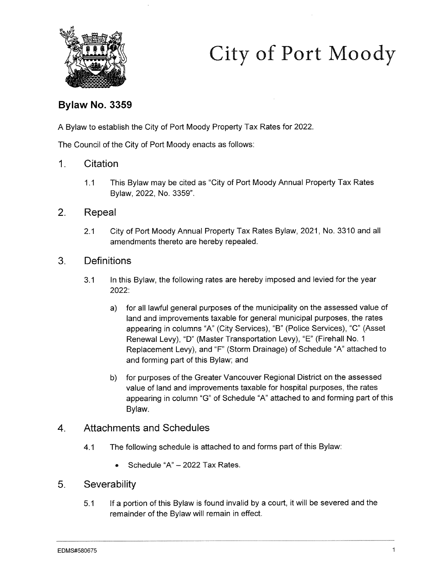

# City of Port Moody

## Bylaw No. 3359

A Bylaw to establish the City of Port Moody Property Tax Rates for 2022.

The Council of the City of Port Moody enacts as follows:

#### $1<sub>1</sub>$ **Citation**

1.1 This Bylaw may be cited as "City of Port Moody Annual Property Tax Rates Bylaw, 2022, No. 3359".

#### 2. Repeal

2.1 City of Port Moody Annual Property Tax Rates Bylaw, 2021, No. 3310 and all amendments thereto are hereby repealed.

### 3. Definitions

- 3.1 In this Bylaw, the following rates are hereby imposed and levied for the year 2022:
	- a) for all lawful general purposes of the municipality on the assessed value of land and improvements taxable for general municipal purposes, the rates appearing in columns "A" (City Services), "B" (Police Services), "C" (Asset Renewal Levy), "D" (Master Transportation Levy), "E" (Firehall No. 1 Replacement Levy), and "F" (Storm Drainage) of Schedule "A" attached to and forming part of this Bylaw; and
	- b) for purposes of the Greater Vancouver Regional District on the assessed value of land and improvements taxable for hospital purposes, the rates appearing in column "G" of Schedule "A" attached to and forming part of this Bylaw.

#### $4<sub>1</sub>$ Attachments and Schedules

- 4.1 The following schedule is attached to and forms part of this Bylaw:
	- Schedule " $A$ " 2022 Tax Rates.

#### 5. Severability

5.1 If a portion of this Bylaw is found invalid by a court, it will be severed and the remainder of the Bylaw will remain in effect.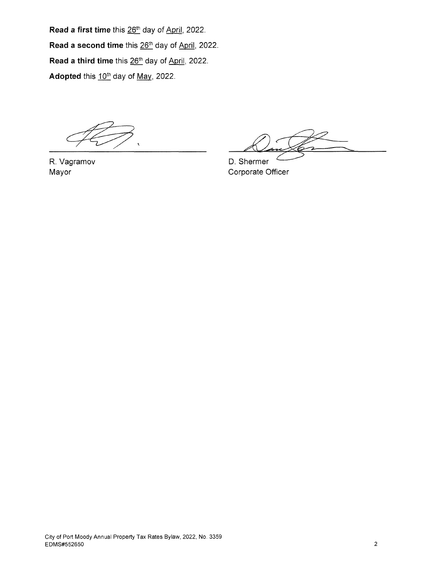Read a first time this 26<sup>th</sup> day of April, 2022. Read a second time this 26<sup>th</sup> day of April, 2022. Read a third time this 26<sup>th</sup> day of April, 2022. Adopted this  $10^{th}$  day of May, 2022.

R. Vagramov Mayor

D. Shermer Corporate Officer